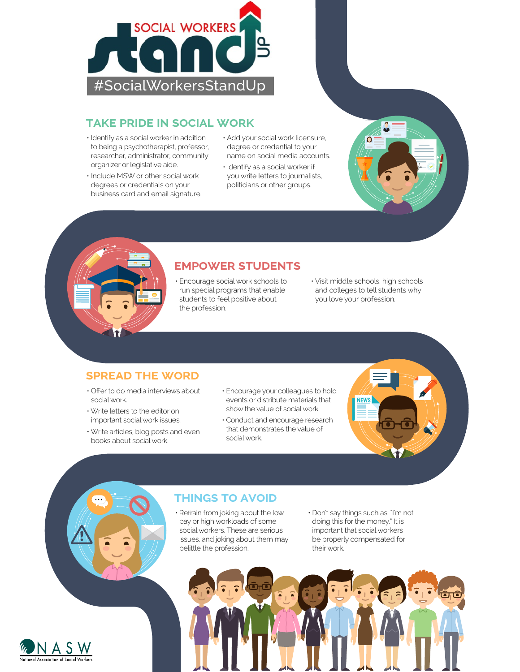

### **TAKE PRIDE IN SOCIAL WORK**

- Identify as a social worker in addition to being a psychotherapist, professor, researcher, administrator, community organizer or legislative aide.
- Include MSW or other social work degrees or credentials on your business card and email signature.
- Add your social work licensure, degree or credential to your name on social media accounts.
- Identify as a social worker if you write letters to journalists, politicians or other groups.

## **EMPOWER STUDENTS**

- Encourage social work schools to run special programs that enable students to feel positive about the profession.
- Visit middle schools, high schools and colleges to tell students why you love your profession.

**NEWS** 

 $\overline{O}$ 

#### **SPREAD THE WORD**

- Offer to do media interviews about social work.
- Write letters to the editor on important social work issues.
- Write articles, blog posts and even books about social work.
- Encourage your colleagues to hold events or distribute materials that show the value of social work.
- Conduct and encourage research that demonstrates the value of social work.

#### **THINGS TO AVOID**

- Refrain from joking about the low pay or high workloads of some social workers. These are serious issues, and joking about them may belittle the profession.
- Don't say things such as, "I'm not doing this for the money." It is important that social workers be properly compensated for their work.